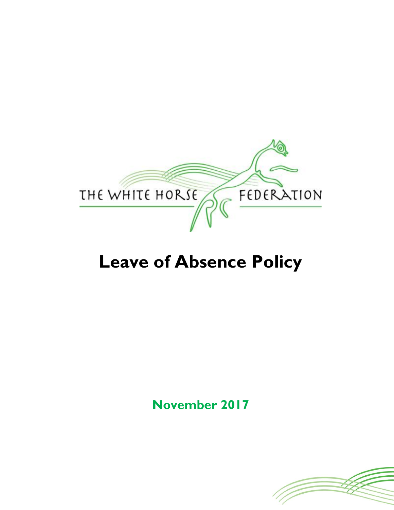

# **Leave of Absence Policy**

**November 2017**

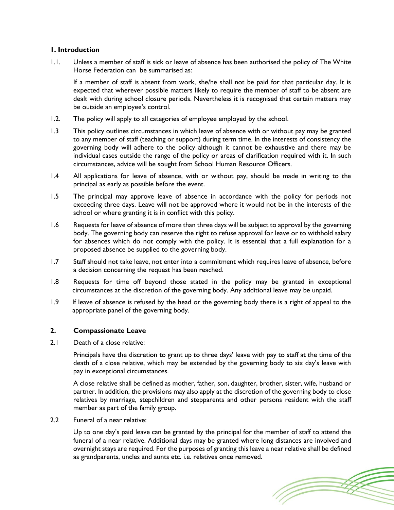# **1. Introduction**

1.1. Unless a member of staff is sick or leave of absence has been authorised the policy of The White Horse Federation can be summarised as:

If a member of staff is absent from work, she/he shall not be paid for that particular day. It is expected that wherever possible matters likely to require the member of staff to be absent are dealt with during school closure periods. Nevertheless it is recognised that certain matters may be outside an employee's control.

- 1.2. The policy will apply to all categories of employee employed by the school.
- 1.3 This policy outlines circumstances in which leave of absence with or without pay may be granted to any member of staff (teaching or support) during term time. In the interests of consistency the governing body will adhere to the policy although it cannot be exhaustive and there may be individual cases outside the range of the policy or areas of clarification required with it. In such circumstances, advice will be sought from School Human Resource Officers.
- 1.4 All applications for leave of absence, with or without pay, should be made in writing to the principal as early as possible before the event.
- 1.5 The principal may approve leave of absence in accordance with the policy for periods not exceeding three days. Leave will not be approved where it would not be in the interests of the school or where granting it is in conflict with this policy.
- 1.6 Requests for leave of absence of more than three days will be subject to approval by the governing body. The governing body can reserve the right to refuse approval for leave or to withhold salary for absences which do not comply with the policy. It is essential that a full explanation for a proposed absence be supplied to the governing body.
- 1.7 Staff should not take leave, not enter into a commitment which requires leave of absence, before a decision concerning the request has been reached.
- 1.8 Requests for time off beyond those stated in the policy may be granted in exceptional circumstances at the discretion of the governing body. Any additional leave may be unpaid.
- 1.9 If leave of absence is refused by the head or the governing body there is a right of appeal to the appropriate panel of the governing body.

# **2. Compassionate Leave**

2.1 Death of a close relative:

Principals have the discretion to grant up to three days' leave with pay to staff at the time of the death of a close relative, which may be extended by the governing body to six day's leave with pay in exceptional circumstances.

A close relative shall be defined as mother, father, son, daughter, brother, sister, wife, husband or partner. In addition, the provisions may also apply at the discretion of the governing body to close relatives by marriage, stepchildren and stepparents and other persons resident with the staff member as part of the family group.

2.2 Funeral of a near relative:

Up to one day's paid leave can be granted by the principal for the member of staff to attend the funeral of a near relative. Additional days may be granted where long distances are involved and overnight stays are required. For the purposes of granting this leave a near relative shall be defined as grandparents, uncles and aunts etc. i.e. relatives once removed.

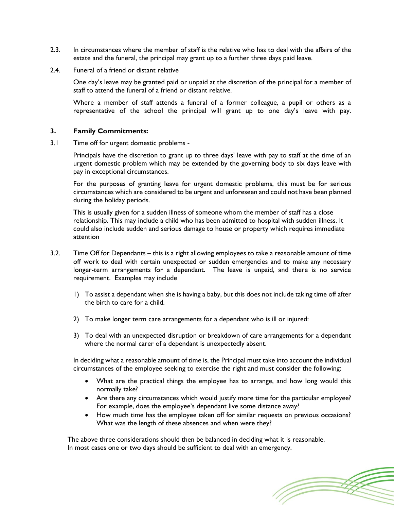- 2.3. In circumstances where the member of staff is the relative who has to deal with the affairs of the estate and the funeral, the principal may grant up to a further three days paid leave.
- 2.4. Funeral of a friend or distant relative

One day's leave may be granted paid or unpaid at the discretion of the principal for a member of staff to attend the funeral of a friend or distant relative.

Where a member of staff attends a funeral of a former colleague, a pupil or others as a representative of the school the principal will grant up to one day's leave with pay.

# **3. Family Commitments:**

3.1 Time off for urgent domestic problems -

Principals have the discretion to grant up to three days' leave with pay to staff at the time of an urgent domestic problem which may be extended by the governing body to six days leave with pay in exceptional circumstances.

For the purposes of granting leave for urgent domestic problems, this must be for serious circumstances which are considered to be urgent and unforeseen and could not have been planned during the holiday periods.

This is usually given for a sudden illness of someone whom the member of staff has a close relationship. This may include a child who has been admitted to hospital with sudden illness. It could also include sudden and serious damage to house or property which requires immediate attention

- 3.2. Time Off for Dependants this is a right allowing employees to take a reasonable amount of time off work to deal with certain unexpected or sudden emergencies and to make any necessary longer-term arrangements for a dependant. The leave is unpaid, and there is no service requirement. Examples may include
	- 1) To assist a dependant when she is having a baby, but this does not include taking time off after the birth to care for a child.
	- 2) To make longer term care arrangements for a dependant who is ill or injured:
	- 3) To deal with an unexpected disruption or breakdown of care arrangements for a dependant where the normal carer of a dependant is unexpectedly absent.

In deciding what a reasonable amount of time is, the Principal must take into account the individual circumstances of the employee seeking to exercise the right and must consider the following:

- What are the practical things the employee has to arrange, and how long would this normally take?
- Are there any circumstances which would justify more time for the particular employee? For example, does the employee's dependant live some distance away?
- How much time has the employee taken off for similar requests on previous occasions? What was the length of these absences and when were they?

The above three considerations should then be balanced in deciding what it is reasonable. In most cases one or two days should be sufficient to deal with an emergency.

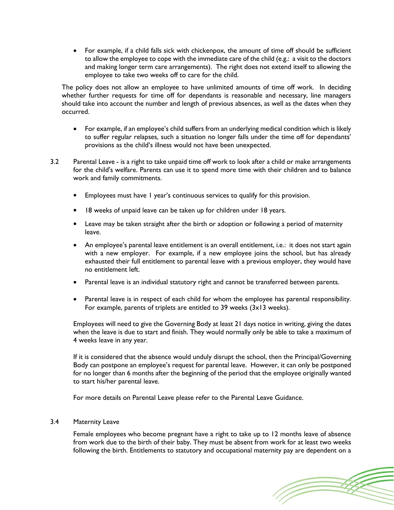For example, if a child falls sick with chickenpox, the amount of time off should be sufficient to allow the employee to cope with the immediate care of the child (e.g.: a visit to the doctors and making longer term care arrangements). The right does not extend itself to allowing the employee to take two weeks off to care for the child.

The policy does not allow an employee to have unlimited amounts of time off work. In deciding whether further requests for time off for dependants is reasonable and necessary, line managers should take into account the number and length of previous absences, as well as the dates when they occurred.

- For example, if an employee's child suffers from an underlying medical condition which is likely to suffer regular relapses, such a situation no longer falls under the time off for dependants' provisions as the child's illness would not have been unexpected.
- 3.2 Parental Leave is a right to take unpaid time off work to look after a child or make arrangements for the child's welfare. Parents can use it to spend more time with their children and to balance work and family commitments.
	- Employees must have 1 year's continuous services to qualify for this provision.
	- 18 weeks of unpaid leave can be taken up for children under 18 years.
	- Leave may be taken straight after the birth or adoption or following a period of maternity leave.
	- An employee's parental leave entitlement is an overall entitlement, i.e.: it does not start again with a new employer. For example, if a new employee joins the school, but has already exhausted their full entitlement to parental leave with a previous employer, they would have no entitlement left.
	- Parental leave is an individual statutory right and cannot be transferred between parents.
	- Parental leave is in respect of each child for whom the employee has parental responsibility. For example, parents of triplets are entitled to 39 weeks (3x13 weeks).

Employees will need to give the Governing Body at least 21 days notice in writing, giving the dates when the leave is due to start and finish. They would normally only be able to take a maximum of 4 weeks leave in any year.

If it is considered that the absence would unduly disrupt the school, then the Principal/Governing Body can postpone an employee's request for parental leave. However, it can only be postponed for no longer than 6 months after the beginning of the period that the employee originally wanted to start his/her parental leave.

For more details on Parental Leave please refer to the Parental Leave Guidance.

# 3.4 Maternity Leave

Female employees who become pregnant have a right to take up to 12 months leave of absence from work due to the birth of their baby. They must be absent from work for at least two weeks following the birth. Entitlements to statutory and occupational maternity pay are dependent on a

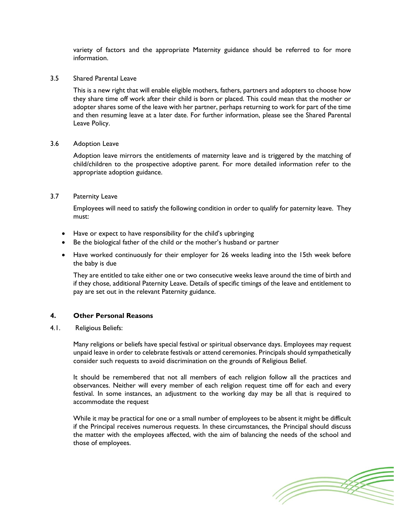variety of factors and the appropriate Maternity guidance should be referred to for more information.

3.5 [Shared Parental Leave](http://www.acas.org.uk/index.aspx?articleid=4911)

This is a new right that will enable eligible mothers, fathers, partners and adopters to choose how they share time off work after their child is born or placed. This could mean that the mother or adopter shares some of the leave with her partner, perhaps returning to work for part of the time and then resuming leave at a later date. For further information, please see the Shared Parental Leave Policy.

# 3.6 Adoption Leave

Adoption leave mirrors the entitlements of maternity leave and is triggered by the matching of child/children to the prospective adoptive parent. For more detailed information refer to the appropriate adoption guidance.

# 3.7 Paternity Leave

Employees will need to satisfy the following condition in order to qualify for paternity leave. They must:

- Have or expect to have responsibility for the child's upbringing
- Be the biological father of the child or the mother's husband or partner
- Have worked continuously for their employer for 26 weeks leading into the 15th week before the baby is due

They are entitled to take either one or two consecutive weeks leave around the time of birth and if they chose, additional Paternity Leave. Details of specific timings of the leave and entitlement to pay are set out in the relevant Paternity guidance.

# **4. Other Personal Reasons**

4.1. Religious Beliefs:

Many religions or beliefs have special festival or spiritual observance days. Employees may request unpaid leave in order to celebrate festivals or attend ceremonies. Principals should sympathetically consider such requests to avoid discrimination on the grounds of Religious Belief.

It should be remembered that not all members of each religion follow all the practices and observances. Neither will every member of each religion request time off for each and every festival. In some instances, an adjustment to the working day may be all that is required to accommodate the request

While it may be practical for one or a small number of employees to be absent it might be difficult if the Principal receives numerous requests. In these circumstances, the Principal should discuss the matter with the employees affected, with the aim of balancing the needs of the school and those of employees.

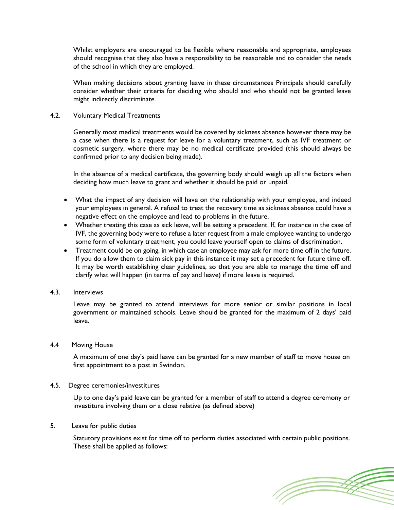Whilst employers are encouraged to be flexible where reasonable and appropriate, employees should recognise that they also have a responsibility to be reasonable and to consider the needs of the school in which they are employed.

When making decisions about granting leave in these circumstances Principals should carefully consider whether their criteria for deciding who should and who should not be granted leave might indirectly discriminate.

# 4.2. Voluntary Medical Treatments

Generally most medical treatments would be covered by sickness absence however there may be a case when there is a request for leave for a voluntary treatment, such as IVF treatment or cosmetic surgery, where there may be no medical certificate provided (this should always be confirmed prior to any decision being made).

In the absence of a medical certificate, the governing body should weigh up all the factors when deciding how much leave to grant and whether it should be paid or unpaid.

- What the impact of any decision will have on the relationship with your employee, and indeed your employees in general. A refusal to treat the recovery time as sickness absence could have a negative effect on the employee and lead to problems in the future.
- Whether treating this case as sick leave, will be setting a precedent. If, for instance in the case of IVF, the governing body were to refuse a later request from a male employee wanting to undergo some form of voluntary treatment, you could leave yourself open to claims of discrimination.
- Treatment could be on going, in which case an employee may ask for more time off in the future. If you do allow them to claim sick pay in this instance it may set a precedent for future time off. It may be worth establishing clear guidelines, so that you are able to manage the time off and clarify what will happen (in terms of pay and leave) if more leave is required.

#### 4.3. Interviews

Leave may be granted to attend interviews for more senior or similar positions in local government or maintained schools. Leave should be granted for the maximum of 2 days' paid leave.

## 4.4 Moving House

A maximum of one day's paid leave can be granted for a new member of staff to move house on first appointment to a post in Swindon.

#### 4.5. Degree ceremonies/investitures

Up to one day's paid leave can be granted for a member of staff to attend a degree ceremony or investiture involving them or a close relative (as defined above)

#### 5. Leave for public duties

Statutory provisions exist for time off to perform duties associated with certain public positions. These shall be applied as follows:

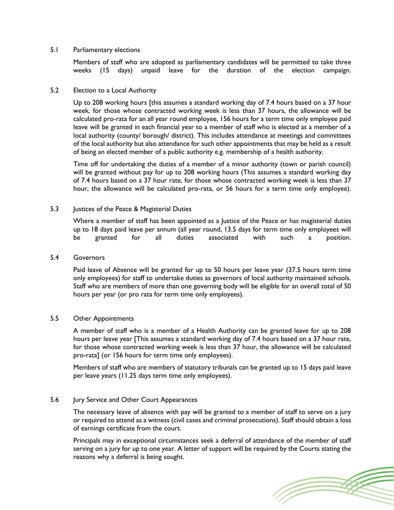# 5.1 Parliamentary elections

Members of staff who are adopted as parliamentary candidates will be permitted to take three weeks (15 days) unpaid leave for the duration of the election campaign.

# 5.2 Election to a Local Authority

Up to 208 working hours [this assumes a standard working day of 7.4 hours based on a 37 hour week, for those whose contracted working week is less than 37 hours, the allowance will be calculated pro-rata for an all year round employee, 156 hours for a term time only employee paid leave will be granted in each financial year to a member of staff who is elected as a member of a local authority (county/ borough/ district). This includes attendance at meetings and committees of the local authority but also attendance for such other appointments that may be held as a result of being an elected member of a public authority e.g. membership of a health authority.

Time off for undertaking the duties of a member of a minor authority (town or parish council) will be granted without pay for up to 208 working hours (This assumes a standard working day of 7.4 hours based on a 37 hour rate, for those whose contracted working week is less than 37 hour, the allowance will be calculated pro-rata, or 56 hours for a term time only employee).

# 5.3 Justices of the Peace & Magisterial Duties

Where a member of staff has been appointed as a Justice of the Peace or has magisterial duties up to 18 days paid leave per annum (all year round, 13.5 days for term time only employees will be granted for all duties associated with such a position.

#### 5.4 Governors

Paid leave of Absence will be granted for up to 50 hours per leave year (37.5 hours term time only employees) for staff to undertake duties as governors of local authority maintained schools. Staff who are members of more than one governing body will be eligible for an overall total of 50 hours per year (or pro rata for term time only employees).

#### 5.5 Other Appointments

A member of staff who is a member of a Health Authority can be granted leave for up to 208 hours per leave year [This assumes a standard working day of 7.4 hours based on a 37 hour rate, for those whose contracted working week is less than 37 hour, the allowance will be calculated pro-rata] (or 156 hours for term time only employees).

Members of staff who are members of statutory tribunals can be granted up to 15 days paid leave per leave years (11.25 days term time only employees).

# 5.6 Jury Service and Other Court Appearances

The necessary leave of absence with pay will be granted to a member of staff to serve on a jury or required to attend as a witness (civil cases and criminal prosecutions). Staff should obtain a loss of earnings certificate from the court.

Principals may in exceptional circumstances seek a deferral of attendance of the member of staff serving on a jury for up to one year. A letter of support will be required by the Courts stating the reasons why a deferral is being sought.